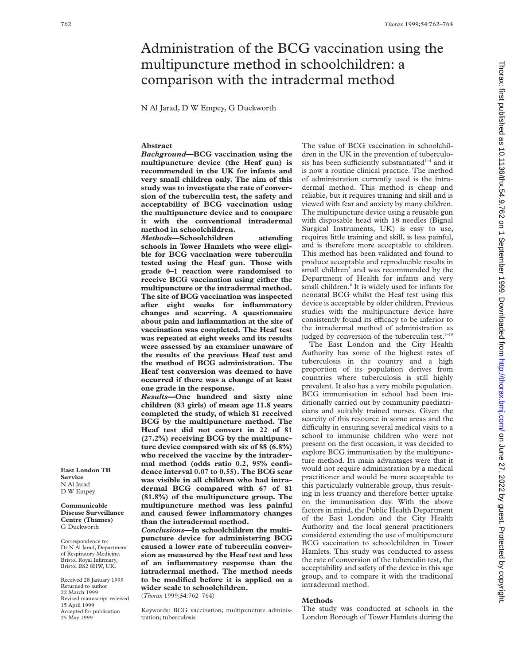# Administration of the BCG vaccination using the multipuncture method in schoolchildren: a comparison with the intradermal method

N Al Jarad, D W Empey, G Duckworth

#### **Abstract**

*Background***—BCG vaccination using the multipuncture device (the Heaf gun) is recommended in the UK for infants and very small children only. The aim of this study was to investigate the rate of conversion of the tuberculin test, the safety and acceptability of BCG vaccination using the multipuncture device and to compare it with the conventional intradermal method in schoolchildren.**

*Methods***—Schoolchildren attending schools in Tower Hamlets who were eligible for BCG vaccination were tuberculin tested using the Heaf gun. Those with grade 0–1 reaction were randomised to receive BCG vaccination using either the multipuncture or the intradermal method. The site of BCG vaccination was inspected after eight weeks for inflammatory changes and scarring. A questionnaire about pain and inflammation at the site of vaccination was completed. The Heaf test was repeated at eight weeks and its results were assessed by an examiner unaware of the results of the previous Heaf test and the method of BCG administration. The Heaf test conversion was deemed to have occurred if there was a change of at least one grade in the response.**

*Results***—One hundred and sixty nine children (83 girls) of mean age 11.8 years completed the study, of which 81 received BCG by the multipuncture method. The Heaf test did not convert in 22 of 81 (27.2%) receiving BCG by the multipuncture device compared with six of 88 (6.8%) who received the vaccine by the intradermal method (odds ratio 0.2, 95% confidence interval 0.07 to 0.55). The BCG scar was visible in all children who had intradermal BCG compared with 67 of 81 (81.8%) of the multipuncture group. The multipuncture method was less painful and caused fewer inflammatory changes than the intradermal method.**

*Conclusions***—In schoolchildren the multipuncture device for administering BCG caused a lower rate of tuberculin conversion as measured by the Heaf test and less of an inflammatory response than the intradermal method. The method needs to be modified before it is applied on a wider scale to schoolchildren.**

(*Thorax* 1999;**54**:762–764)

Keywords: BCG vaccination; multipuncture administration; tuberculosis

The value of BCG vaccination in schoolchildren in the UK in the prevention of tuberculosis has been sufficiently substantiated $1-4$  and it is now a routine clinical practice. The method of administration currently used is the intradermal method. This method is cheap and reliable, but it requires training and skill and is viewed with fear and anxiety by many children. The multipuncture device using a reusable gun with disposable head with 18 needles (Bignal Surgical Instruments, UK) is easy to use, requires little training and skill, is less painful, and is therefore more acceptable to children. This method has been validated and found to produce acceptable and reproducible results in small children<sup>5</sup> and was recommended by the Department of Health for infants and very small children.<sup>6</sup> It is widely used for infants for neonatal BCG whilst the Heaf test using this device is acceptable by older children. Previous studies with the multipuncture device have consistently found its efficacy to be inferior to the intradermal method of administration as judged by conversion of the tuberculin test.<sup>7-10</sup>

The East London and the City Health Authority has some of the highest rates of tuberculosis in the country and a high proportion of its population derives from countries where tuberculosis is still highly prevalent. It also has a very mobile population. BCG immunisation in school had been traditionally carried out by community paediatricians and suitably trained nurses. Given the scarcity of this resource in some areas and the difficulty in ensuring several medical visits to a school to immunise children who were not present on the first occasion, it was decided to explore BCG immunisation by the multipuncture method. Its main advantages were that it would not require administration by a medical practitioner and would be more acceptable to this particularly vulnerable group, thus resulting in less truancy and therefore better uptake on the immunisation day. With the above factors in mind, the Public Health Department of the East London and the City Health Authority and the local general practitioners considered extending the use of multipuncture BCG vaccination to schoolchildren in Tower Hamlets. This study was conducted to assess the rate of conversion of the tuberculin test, the acceptability and safety of the device in this age group, and to compare it with the traditional intradermal method.

## **Methods**

The study was conducted at schools in the London Borough of Tower Hamlets during the

Thorax: first published as 10.1136/thx.54.9.762 on 1 September 1999. Downloaded from June 27, 2022 by guest. Protected by copyright. From 1999. Downloaded from 27, 2022 by guest as 10.1136/thx.54.9.762 on 1 September 1999. Thorax: first published as 10.1136/thx.54.9.762 on 1 September 1999. Downloaded from http://thorax.bmj.com/ on June 27, 2022 by guest. Protected by copyright

**East London TB Service** N Al Jarad D W Empey

**Communicable Disease Surveillance Centre (Thames)** G Duckworth

Correspondence to: Dr N Al Jarad, Department of Respiratory Medicine, Bristol Royal Infirmary, Bristol BS2 8HW, UK.

Received 28 January 1999 Returned to author 22 March 1999 Revised manuscript received 15 April 1999 Accepted for publication 25 May 1999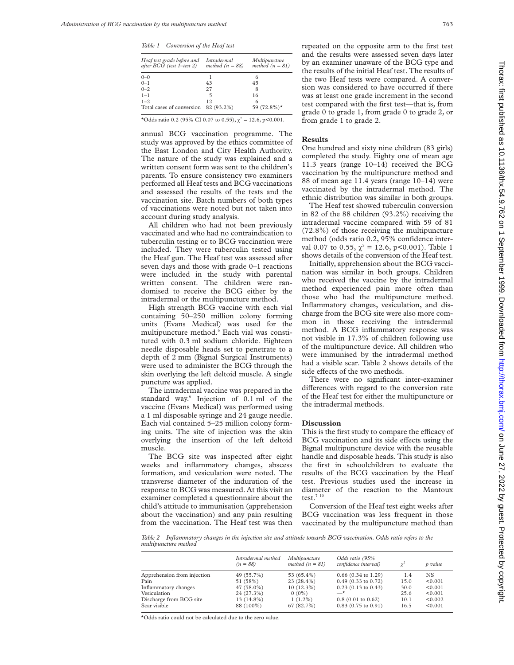*Table 1 Conversion of the Heaf test*

| Heaf test grade before and<br>after $BCG$ (test 1-test 2) | Intradermal<br>method $(n = 88)$ | Multipuncture<br>method $(n = 81)$ |  |  |
|-----------------------------------------------------------|----------------------------------|------------------------------------|--|--|
| $0 - 0$                                                   |                                  | 6                                  |  |  |
| $0 - 1$                                                   | 43                               | 45                                 |  |  |
| $0 - 2$                                                   | 27                               | 8                                  |  |  |
| $1 - 1$                                                   | 5                                | 16                                 |  |  |
| $1 - 2$                                                   | 12.                              | 6                                  |  |  |
| Total cases of conversion                                 | 82 (93.2%)                       | 59 $(72.8\%)*$                     |  |  |

\*Odds ratio 0.2 (95% CI 0.07 to 0.55),  $\chi^2 = 12.6$ , p<0.001.

annual BCG vaccination programme. The study was approved by the ethics committee of the East London and City Health Authority. The nature of the study was explained and a written consent form was sent to the children's parents. To ensure consistency two examiners performed all Heaf tests and BCG vaccinations and assessed the results of the tests and the vaccination site. Batch numbers of both types of vaccinations were noted but not taken into account during study analysis.

All children who had not been previously vaccinated and who had no contraindication to tuberculin testing or to BCG vaccination were included. They were tuberculin tested using the Heaf gun. The Heaf test was assessed after seven days and those with grade 0–1 reactions were included in the study with parental written consent. The children were randomised to receive the BCG either by the intradermal or the multipuncture method.

High strength BCG vaccine with each vial containing 50–250 million colony forming units (Evans Medical) was used for the multipuncture method.<sup>6</sup> Each vial was constituted with 0.3 ml sodium chloride. Eighteen needle disposable heads set to penetrate to a depth of 2 mm (Bignal Surgical Instruments) were used to administer the BCG through the skin overlying the left deltoid muscle. A single puncture was applied.

The intradermal vaccine was prepared in the standard way.<sup>6</sup> Injection of 0.1 ml of the vaccine (Evans Medical) was performed using a 1 ml disposable syringe and 24 gauge needle. Each vial contained 5–25 million colony forming units. The site of injection was the skin overlying the insertion of the left deltoid muscle.

The BCG site was inspected after eight weeks and inflammatory changes, abscess formation, and vesiculation were noted. The transverse diameter of the induration of the response to BCG was measured. At this visit an examiner completed a questionnaire about the child's attitude to immunisation (apprehension about the vaccination) and any pain resulting from the vaccination. The Heaf test was then repeated on the opposite arm to the first test and the results were assessed seven days later by an examiner unaware of the BCG type and the results of the initial Heaf test. The results of the two Heaf tests were compared. A conversion was considered to have occurred if there was at least one grade increment in the second test compared with the first test—that is, from grade 0 to grade 1, from grade 0 to grade 2, or from grade 1 to grade 2.

#### **Results**

One hundred and sixty nine children (83 girls) completed the study. Eighty one of mean age 11.3 years (range 10–14) received the BCG vaccination by the multipuncture method and 88 of mean age 11.4 years (range 10–14) were vaccinated by the intradermal method. The ethnic distribution was similar in both groups.

The Heaf test showed tuberculin conversion in 82 of the 88 children (93.2%) receiving the intradermal vaccine compared with 59 of 81 (72.8%) of those receiving the multipuncture method (odds ratio 0.2, 95% confidence interval 0.07 to 0.55,  $\chi^2 = 12.6$ , p<0.001). Table 1 shows details of the conversion of the Heaf test.

Initially, apprehension about the BCG vaccination was similar in both groups. Children who received the vaccine by the intradermal method experienced pain more often than those who had the multipuncture method. Inflammatory changes, vesiculation, and discharge from the BCG site were also more common in those receiving the intradermal method. A BCG inflammatory response was not visible in 17.3% of children following use of the multipuncture device. All children who were immunised by the intradermal method had a visible scar. Table 2 shows details of the side effects of the two methods.

There were no significant inter-examiner differences with regard to the conversion rate of the Heaf test for either the multipuncture or the intradermal methods.

## **Discussion**

This is the first study to compare the efficacy of BCG vaccination and its side effects using the Bignal multipuncture device with the reusable handle and disposable heads. This study is also the first in schoolchildren to evaluate the results of the BCG vaccination by the Heaf test. Previous studies used the increase in diameter of the reaction to the Mantoux test. $710$ 

Conversion of the Heaf test eight weeks after BCG vaccination was less frequent in those vaccinated by the multipuncture method than

*Table 2 Inflammatory changes in the injection site and attitude towards BCG vaccination. Odds ratio refers to the multipuncture method*

|                             | Intradermal method<br>$(n = 88)$ | Multipuncture<br>method $(n = 81)$ | Odds ratio (95%<br>confidence interval) |      | p value |
|-----------------------------|----------------------------------|------------------------------------|-----------------------------------------|------|---------|
| Apprehension from injection | 49 (55.7%)                       | 53 (65.4%)                         | $0.66$ (0.34 to 1.29)                   | 1.4  | NS      |
| Pain                        | 51 (58%)                         | $23(28.4\%)$                       | $0.49$ (0.33 to 0.72)                   | 15.0 | < 0.001 |
| Inflammatory changes        | $47(58.0\%)$                     | $10(12.3\%)$                       | $0.23$ (0.13 to 0.43)                   | 30.0 | < 0.001 |
| Vesiculation                | 24 (27.3%)                       | $0(0\%)$                           | —*                                      | 25.6 | < 0.001 |
| Discharge from BCG site     | $13(14.8\%)$                     | $1(1.2\%)$                         | $0.8$ (0.01 to 0.62)                    | 10.1 | < 0.002 |
| Scar visible                | 88 (100%)                        | 67(82.7%)                          | $0.83$ (0.75 to 0.91)                   | 16.5 | < 0.001 |

\*Odds ratio could not be calculated due to the zero value.